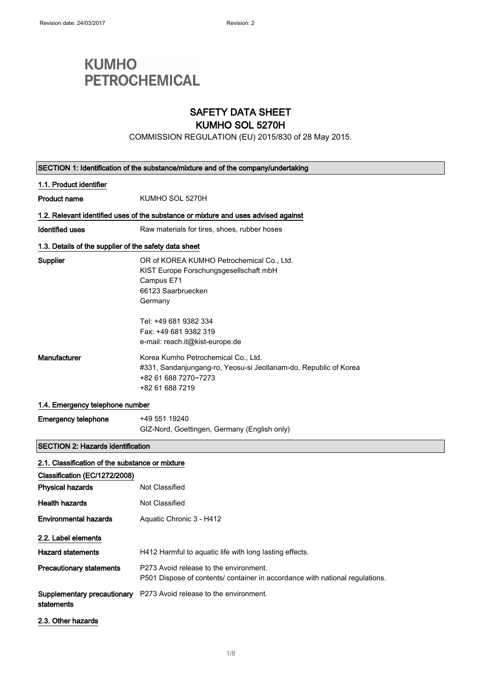# **KUMHO PETROCHEMICAL**

### SAFETY DATA SHEET

### KUMHO SOL 5270H

COMMISSION REGULATION (EU) 2015/830 of 28 May 2015.

| SECTION 1: Identification of the substance/mixture and of the company/undertaking |                                                                                                                                                    |
|-----------------------------------------------------------------------------------|----------------------------------------------------------------------------------------------------------------------------------------------------|
| 1.1. Product identifier                                                           |                                                                                                                                                    |
| <b>Product name</b>                                                               | KUMHO SOL 5270H                                                                                                                                    |
|                                                                                   | 1.2. Relevant identified uses of the substance or mixture and uses advised against                                                                 |
| Identified uses                                                                   | Raw materials for tires, shoes, rubber hoses                                                                                                       |
| 1.3. Details of the supplier of the safety data sheet                             |                                                                                                                                                    |
| Supplier                                                                          | OR of KOREA KUMHO Petrochemical Co., Ltd.<br>KIST Europe Forschungsgesellschaft mbH<br>Campus E71<br>66123 Saarbruecken<br>Germany                 |
|                                                                                   | Tel: +49 681 9382 334<br>Fax: +49 681 9382 319<br>e-mail: reach.it@kist-europe.de                                                                  |
| Manufacturer                                                                      | Korea Kumho Petrochemical Co., Ltd.<br>#331, Sandanjungang-ro, Yeosu-si Jeollanam-do, Republic of Korea<br>+82 61 688 7270~7273<br>+82 61 688 7219 |
| 1.4. Emergency telephone number                                                   |                                                                                                                                                    |
| <b>Emergency telephone</b>                                                        | +49 551 19240<br>GIZ-Nord, Goettingen, Germany (English only)                                                                                      |
| <b>SECTION 2: Hazards identification</b>                                          |                                                                                                                                                    |
| 2.1. Classification of the substance or mixture                                   |                                                                                                                                                    |
| Classification (EC/1272/2008)                                                     |                                                                                                                                                    |
| <b>Physical hazards</b>                                                           | Not Classified                                                                                                                                     |
| <b>Health hazards</b>                                                             | Not Classified                                                                                                                                     |
| <b>Environmental hazards</b>                                                      | Aquatic Chronic 3 - H412                                                                                                                           |
| 2.2. Label elements                                                               |                                                                                                                                                    |
| <b>Hazard statements</b>                                                          | H412 Harmful to aquatic life with long lasting effects.                                                                                            |
| <b>Precautionary statements</b>                                                   | P273 Avoid release to the environment.<br>P501 Dispose of contents/ container in accordance with national regulations.                             |
| Supplementary precautionary<br>statements                                         | P273 Avoid release to the environment.                                                                                                             |
| 2.3. Other hazards                                                                |                                                                                                                                                    |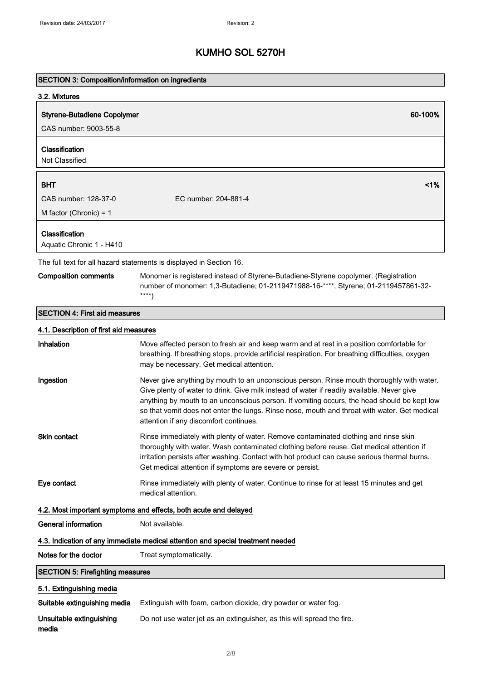| <b>SECTION 3: Composition/information on ingredients</b>         |                                                                                                                                                                                                                                                                                                                                                                                                                                  |
|------------------------------------------------------------------|----------------------------------------------------------------------------------------------------------------------------------------------------------------------------------------------------------------------------------------------------------------------------------------------------------------------------------------------------------------------------------------------------------------------------------|
| 3.2. Mixtures                                                    |                                                                                                                                                                                                                                                                                                                                                                                                                                  |
| <b>Styrene-Butadiene Copolymer</b>                               | 60-100%                                                                                                                                                                                                                                                                                                                                                                                                                          |
| CAS number: 9003-55-8                                            |                                                                                                                                                                                                                                                                                                                                                                                                                                  |
| Classification<br>Not Classified                                 |                                                                                                                                                                                                                                                                                                                                                                                                                                  |
| <b>BHT</b>                                                       | 1%                                                                                                                                                                                                                                                                                                                                                                                                                               |
| CAS number: 128-37-0                                             | EC number: 204-881-4                                                                                                                                                                                                                                                                                                                                                                                                             |
| M factor (Chronic) = $1$                                         |                                                                                                                                                                                                                                                                                                                                                                                                                                  |
| Classification<br>Aquatic Chronic 1 - H410                       |                                                                                                                                                                                                                                                                                                                                                                                                                                  |
|                                                                  | The full text for all hazard statements is displayed in Section 16.                                                                                                                                                                                                                                                                                                                                                              |
| <b>Composition comments</b>                                      | Monomer is registered instead of Styrene-Butadiene-Styrene copolymer. (Registration<br>number of monomer: 1,3-Butadiene; 01-2119471988-16-****, Styrene; 01-2119457861-32-<br>$***$                                                                                                                                                                                                                                              |
| <b>SECTION 4: First aid measures</b>                             |                                                                                                                                                                                                                                                                                                                                                                                                                                  |
| 4.1. Description of first aid measures                           |                                                                                                                                                                                                                                                                                                                                                                                                                                  |
| Inhalation                                                       | Move affected person to fresh air and keep warm and at rest in a position comfortable for<br>breathing. If breathing stops, provide artificial respiration. For breathing difficulties, oxygen<br>may be necessary. Get medical attention.                                                                                                                                                                                       |
| Ingestion                                                        | Never give anything by mouth to an unconscious person. Rinse mouth thoroughly with water.<br>Give plenty of water to drink. Give milk instead of water if readily available. Never give<br>anything by mouth to an unconscious person. If vomiting occurs, the head should be kept low<br>so that vomit does not enter the lungs. Rinse nose, mouth and throat with water. Get medical<br>attention if any discomfort continues. |
| Skin contact                                                     | Rinse immediately with plenty of water. Remove contaminated clothing and rinse skin<br>thoroughly with water. Wash contaminated clothing before reuse. Get medical attention if<br>irritation persists after washing. Contact with hot product can cause serious thermal burns.<br>Get medical attention if symptoms are severe or persist.                                                                                      |
| Eye contact                                                      | Rinse immediately with plenty of water. Continue to rinse for at least 15 minutes and get<br>medical attention.                                                                                                                                                                                                                                                                                                                  |
| 4.2. Most important symptoms and effects, both acute and delayed |                                                                                                                                                                                                                                                                                                                                                                                                                                  |
| <b>General information</b>                                       | Not available.                                                                                                                                                                                                                                                                                                                                                                                                                   |
|                                                                  | 4.3. Indication of any immediate medical attention and special treatment needed                                                                                                                                                                                                                                                                                                                                                  |
| Notes for the doctor                                             | Treat symptomatically.                                                                                                                                                                                                                                                                                                                                                                                                           |
| <b>SECTION 5: Firefighting measures</b>                          |                                                                                                                                                                                                                                                                                                                                                                                                                                  |
| 5.1. Extinguishing media                                         |                                                                                                                                                                                                                                                                                                                                                                                                                                  |
| Suitable extinguishing media                                     | Extinguish with foam, carbon dioxide, dry powder or water fog.                                                                                                                                                                                                                                                                                                                                                                   |
| Unsuitable extinguishing<br>media                                | Do not use water jet as an extinguisher, as this will spread the fire.                                                                                                                                                                                                                                                                                                                                                           |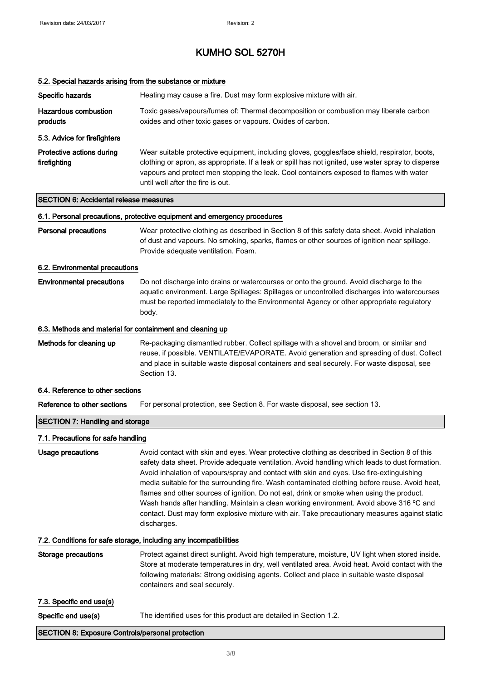| 5.2. Special hazards arising from the substance or mixture |                                                                                                                                                                                                                                                                                                                                                                                                                                                                                                                                                                                                                                                                                                    |  |
|------------------------------------------------------------|----------------------------------------------------------------------------------------------------------------------------------------------------------------------------------------------------------------------------------------------------------------------------------------------------------------------------------------------------------------------------------------------------------------------------------------------------------------------------------------------------------------------------------------------------------------------------------------------------------------------------------------------------------------------------------------------------|--|
| Specific hazards                                           | Heating may cause a fire. Dust may form explosive mixture with air.                                                                                                                                                                                                                                                                                                                                                                                                                                                                                                                                                                                                                                |  |
| <b>Hazardous combustion</b><br>products                    | Toxic gases/vapours/fumes of: Thermal decomposition or combustion may liberate carbon<br>oxides and other toxic gases or vapours. Oxides of carbon.                                                                                                                                                                                                                                                                                                                                                                                                                                                                                                                                                |  |
| 5.3. Advice for firefighters                               |                                                                                                                                                                                                                                                                                                                                                                                                                                                                                                                                                                                                                                                                                                    |  |
| Protective actions during<br>firefighting                  | Wear suitable protective equipment, including gloves, goggles/face shield, respirator, boots,<br>clothing or apron, as appropriate. If a leak or spill has not ignited, use water spray to disperse<br>vapours and protect men stopping the leak. Cool containers exposed to flames with water<br>until well after the fire is out.                                                                                                                                                                                                                                                                                                                                                                |  |
| <b>SECTION 6: Accidental release measures</b>              |                                                                                                                                                                                                                                                                                                                                                                                                                                                                                                                                                                                                                                                                                                    |  |
|                                                            | 6.1. Personal precautions, protective equipment and emergency procedures                                                                                                                                                                                                                                                                                                                                                                                                                                                                                                                                                                                                                           |  |
| <b>Personal precautions</b>                                | Wear protective clothing as described in Section 8 of this safety data sheet. Avoid inhalation<br>of dust and vapours. No smoking, sparks, flames or other sources of ignition near spillage.<br>Provide adequate ventilation. Foam.                                                                                                                                                                                                                                                                                                                                                                                                                                                               |  |
| 6.2. Environmental precautions                             |                                                                                                                                                                                                                                                                                                                                                                                                                                                                                                                                                                                                                                                                                                    |  |
| <b>Environmental precautions</b>                           | Do not discharge into drains or watercourses or onto the ground. Avoid discharge to the<br>aquatic environment. Large Spillages: Spillages or uncontrolled discharges into watercourses<br>must be reported immediately to the Environmental Agency or other appropriate regulatory<br>body.                                                                                                                                                                                                                                                                                                                                                                                                       |  |
| 6.3. Methods and material for containment and cleaning up  |                                                                                                                                                                                                                                                                                                                                                                                                                                                                                                                                                                                                                                                                                                    |  |
| Methods for cleaning up                                    | Re-packaging dismantled rubber. Collect spillage with a shovel and broom, or similar and<br>reuse, if possible. VENTILATE/EVAPORATE. Avoid generation and spreading of dust. Collect<br>and place in suitable waste disposal containers and seal securely. For waste disposal, see<br>Section 13.                                                                                                                                                                                                                                                                                                                                                                                                  |  |
| 6.4. Reference to other sections                           |                                                                                                                                                                                                                                                                                                                                                                                                                                                                                                                                                                                                                                                                                                    |  |
| Reference to other sections                                | For personal protection, see Section 8. For waste disposal, see section 13.                                                                                                                                                                                                                                                                                                                                                                                                                                                                                                                                                                                                                        |  |
| <b>SECTION 7: Handling and storage</b>                     |                                                                                                                                                                                                                                                                                                                                                                                                                                                                                                                                                                                                                                                                                                    |  |
| 7.1. Precautions for safe handling                         |                                                                                                                                                                                                                                                                                                                                                                                                                                                                                                                                                                                                                                                                                                    |  |
| Usage precautions                                          | Avoid contact with skin and eyes. Wear protective clothing as described in Section 8 of this<br>safety data sheet. Provide adequate ventilation. Avoid handling which leads to dust formation.<br>Avoid inhalation of vapours/spray and contact with skin and eyes. Use fire-extinguishing<br>media suitable for the surrounding fire. Wash contaminated clothing before reuse. Avoid heat,<br>flames and other sources of ignition. Do not eat, drink or smoke when using the product.<br>Wash hands after handling. Maintain a clean working environment. Avoid above 316 °C and<br>contact. Dust may form explosive mixture with air. Take precautionary measures against static<br>discharges. |  |
|                                                            | 7.2. Conditions for safe storage, including any incompatibilities                                                                                                                                                                                                                                                                                                                                                                                                                                                                                                                                                                                                                                  |  |
| Storage precautions                                        | Protect against direct sunlight. Avoid high temperature, moisture, UV light when stored inside.<br>Store at moderate temperatures in dry, well ventilated area. Avoid heat. Avoid contact with the<br>following materials: Strong oxidising agents. Collect and place in suitable waste disposal<br>containers and seal securely.                                                                                                                                                                                                                                                                                                                                                                  |  |
| 7.3. Specific end use(s)                                   |                                                                                                                                                                                                                                                                                                                                                                                                                                                                                                                                                                                                                                                                                                    |  |
| Specific end use(s)                                        | The identified uses for this product are detailed in Section 1.2.                                                                                                                                                                                                                                                                                                                                                                                                                                                                                                                                                                                                                                  |  |
| SECTION 8: Exposure Controls/personal protection           |                                                                                                                                                                                                                                                                                                                                                                                                                                                                                                                                                                                                                                                                                                    |  |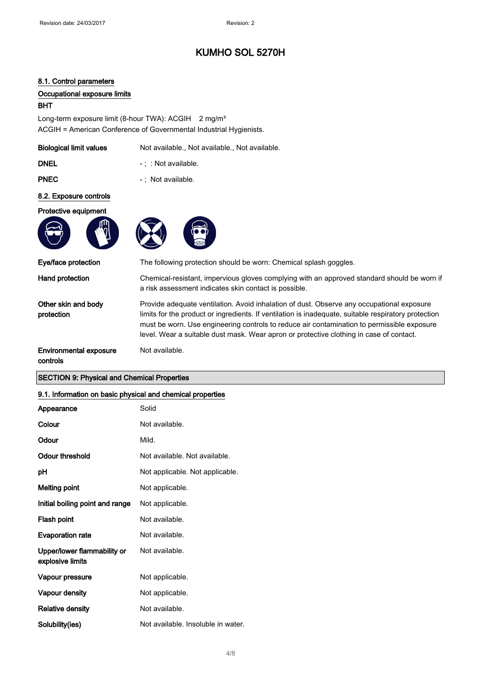#### 8.1. Control parameters

#### Occupational exposure limits

#### BHT

Long-term exposure limit (8-hour TWA): ACGIH 2 mg/m<sup>3</sup> ACGIH = American Conference of Governmental Industrial Hygienists.

| <b>Biological limit values</b> | Not available., Not available., Not available. |
|--------------------------------|------------------------------------------------|
| <b>DNEL</b>                    | $-$ : $\therefore$ Not available.              |
| <b>PNEC</b>                    | -: Not available.                              |
| 8.2. Exposure controls         |                                                |
| Protective equipment           |                                                |
|                                |                                                |

Not available.





a risk assessment indicates skin contact is possible.

Eye/face protection The following protection should be worn: Chemical splash goggles.

Hand protection Chemical-resistant, impervious gloves complying with an approved standard should be worn if

Other skin and body protection

Provide adequate ventilation. Avoid inhalation of dust. Observe any occupational exposure limits for the product or ingredients. If ventilation is inadequate, suitable respiratory protection must be worn. Use engineering controls to reduce air contamination to permissible exposure level. Wear a suitable dust mask. Wear apron or protective clothing in case of contact.

Environmental exposure controls

#### SECTION 9: Physical and Chemical Properties

#### 9.1. Information on basic physical and chemical properties

| Appearance                                      | Solid                              |
|-------------------------------------------------|------------------------------------|
| Colour                                          | Not available.                     |
| Odour                                           | Mild.                              |
| Odour threshold                                 | Not available. Not available.      |
| рH                                              | Not applicable. Not applicable.    |
| <b>Melting point</b>                            | Not applicable.                    |
| Initial boiling point and range                 | Not applicable.                    |
| Flash point                                     | Not available.                     |
| <b>Evaporation rate</b>                         | Not available.                     |
| Upper/lower flammability or<br>explosive limits | Not available.                     |
| Vapour pressure                                 | Not applicable.                    |
| Vapour density                                  | Not applicable.                    |
| <b>Relative density</b>                         | Not available.                     |
| Solubility(ies)                                 | Not available. Insoluble in water. |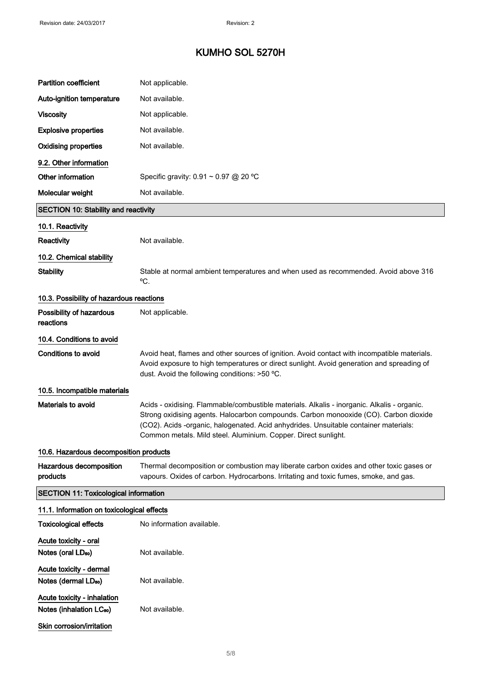| <b>Partition coefficient</b>                                        | Not applicable.                                                                                                                                                                                                                                                                                                                               |
|---------------------------------------------------------------------|-----------------------------------------------------------------------------------------------------------------------------------------------------------------------------------------------------------------------------------------------------------------------------------------------------------------------------------------------|
| Auto-ignition temperature                                           | Not available.                                                                                                                                                                                                                                                                                                                                |
| <b>Viscosity</b>                                                    | Not applicable.                                                                                                                                                                                                                                                                                                                               |
| <b>Explosive properties</b>                                         | Not available.                                                                                                                                                                                                                                                                                                                                |
| <b>Oxidising properties</b>                                         | Not available.                                                                                                                                                                                                                                                                                                                                |
| 9.2. Other information                                              |                                                                                                                                                                                                                                                                                                                                               |
| Other information                                                   | Specific gravity: 0.91 ~ 0.97 @ 20 °C                                                                                                                                                                                                                                                                                                         |
| Molecular weight                                                    | Not available.                                                                                                                                                                                                                                                                                                                                |
| <b>SECTION 10: Stability and reactivity</b>                         |                                                                                                                                                                                                                                                                                                                                               |
| 10.1. Reactivity                                                    |                                                                                                                                                                                                                                                                                                                                               |
| Reactivity                                                          | Not available.                                                                                                                                                                                                                                                                                                                                |
| 10.2. Chemical stability                                            |                                                                                                                                                                                                                                                                                                                                               |
| <b>Stability</b>                                                    | Stable at normal ambient temperatures and when used as recommended. Avoid above 316                                                                                                                                                                                                                                                           |
|                                                                     | °C.                                                                                                                                                                                                                                                                                                                                           |
| 10.3. Possibility of hazardous reactions                            |                                                                                                                                                                                                                                                                                                                                               |
| Possibility of hazardous<br>reactions                               | Not applicable.                                                                                                                                                                                                                                                                                                                               |
| 10.4. Conditions to avoid                                           |                                                                                                                                                                                                                                                                                                                                               |
| <b>Conditions to avoid</b>                                          | Avoid heat, flames and other sources of ignition. Avoid contact with incompatible materials.<br>Avoid exposure to high temperatures or direct sunlight. Avoid generation and spreading of<br>dust. Avoid the following conditions: >50 °C.                                                                                                    |
| 10.5. Incompatible materials                                        |                                                                                                                                                                                                                                                                                                                                               |
| Materials to avoid                                                  | Acids - oxidising. Flammable/combustible materials. Alkalis - inorganic. Alkalis - organic.<br>Strong oxidising agents. Halocarbon compounds. Carbon monooxide (CO). Carbon dioxide<br>(CO2). Acids -organic, halogenated. Acid anhydrides. Unsuitable container materials:<br>Common metals. Mild steel. Aluminium. Copper. Direct sunlight. |
| 10.6. Hazardous decomposition products                              |                                                                                                                                                                                                                                                                                                                                               |
| Hazardous decomposition<br>products                                 | Thermal decomposition or combustion may liberate carbon oxides and other toxic gases or<br>vapours. Oxides of carbon. Hydrocarbons. Irritating and toxic fumes, smoke, and gas.                                                                                                                                                               |
| <b>SECTION 11: Toxicological information</b>                        |                                                                                                                                                                                                                                                                                                                                               |
| 11.1. Information on toxicological effects                          |                                                                                                                                                                                                                                                                                                                                               |
| <b>Toxicological effects</b>                                        | No information available.                                                                                                                                                                                                                                                                                                                     |
| Acute toxicity - oral<br>Notes (oral LD <sub>50</sub> )             | Not available.                                                                                                                                                                                                                                                                                                                                |
| Acute toxicity - dermal<br>Notes (dermal LD <sub>50</sub> )         | Not available.                                                                                                                                                                                                                                                                                                                                |
| Acute toxicity - inhalation<br>Notes (inhalation LC <sub>50</sub> ) | Not available.                                                                                                                                                                                                                                                                                                                                |
| Skin corrosion/irritation                                           |                                                                                                                                                                                                                                                                                                                                               |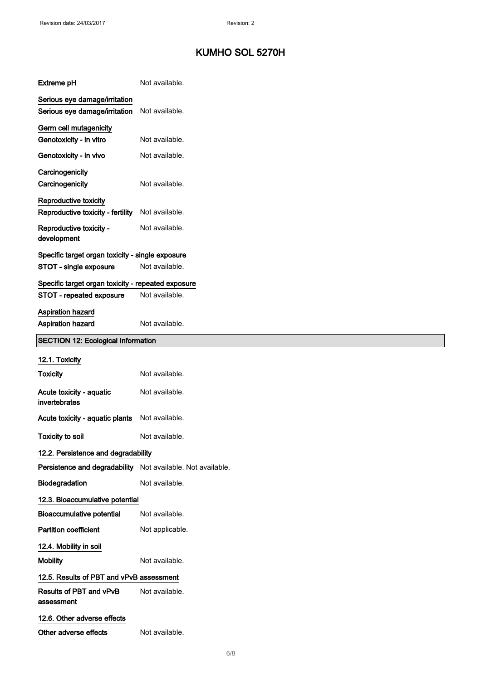| <b>Extreme pH</b>                                              | Not available.  |
|----------------------------------------------------------------|-----------------|
| Serious eye damage/irritation<br>Serious eye damage/irritation | Not available.  |
| Germ cell mutagenicity<br>Genotoxicity - in vitro              | Not available.  |
| Genotoxicity - in vivo                                         | Not available.  |
| Carcinogenicity<br>Carcinogenicity                             | Not available.  |
| Reproductive toxicity<br>Reproductive toxicity - fertility     | Not available.  |
| Reproductive toxicity -<br>development                         | Not available.  |
| Specific target organ toxicity - single exposure               |                 |
| STOT - single exposure                                         | Not available.  |
| Specific target organ toxicity - repeated exposure             |                 |
| STOT - repeated exposure                                       | Not available.  |
| Aspiration hazard<br>Aspiration hazard                         | Not available.  |
| <b>SECTION 12: Ecological Information</b>                      |                 |
| 12.1. Toxicity                                                 |                 |
|                                                                |                 |
| <b>Toxicity</b>                                                | Not available.  |
| Acute toxicity - aquatic<br>invertebrates                      | Not available.  |
| Acute toxicity - aquatic plants                                | Not available.  |
| <b>Toxicity to soil</b>                                        | Not available.  |
| 12.2. Persistence and degradability                            |                 |
| Persistence and degradability Not available. Not available.    |                 |
| Biodegradation                                                 | Not available.  |
| 12.3. Bioaccumulative potential                                |                 |
| <b>Bioaccumulative potential</b>                               | Not available.  |
| <b>Partition coefficient</b>                                   | Not applicable. |
| 12.4. Mobility in soil                                         |                 |
| <b>Mobility</b>                                                | Not available.  |
| 12.5. Results of PBT and vPvB assessment                       |                 |
| Results of PBT and vPvB<br>assessment                          | Not available.  |
| 12.6. Other adverse effects                                    |                 |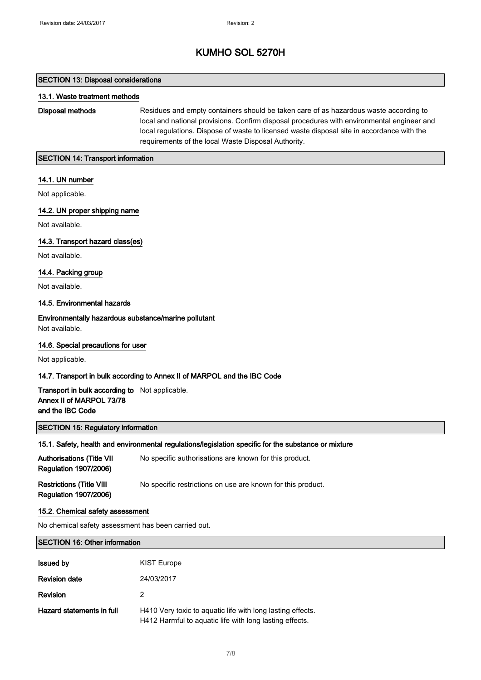#### SECTION 13: Disposal considerations

#### 13.1. Waste treatment methods

Disposal methods Residues and empty containers should be taken care of as hazardous waste according to local and national provisions. Confirm disposal procedures with environmental engineer and local regulations. Dispose of waste to licensed waste disposal site in accordance with the requirements of the local Waste Disposal Authority.

#### SECTION 14: Transport information

#### 14.1. UN number

Not applicable.

#### 14.2. UN proper shipping name

Not available.

#### 14.3. Transport hazard class(es)

Not available.

#### 14.4. Packing group

Not available.

#### 14.5. Environmental hazards

Environmentally hazardous substance/marine pollutant Not available.

#### 14.6. Special precautions for user

Not applicable.

#### 14.7. Transport in bulk according to Annex II of MARPOL and the IBC Code

#### Transport in bulk according to Not applicable. Annex II of MARPOL 73/78 and the IBC Code

#### SECTION 15: Regulatory information

#### 15.1. Safety, health and environmental regulations/legislation specific for the substance or mixture

| <b>Authorisations (Title VII</b><br><b>Regulation 1907/2006)</b> | No specific authorisations are known for this product.      |
|------------------------------------------------------------------|-------------------------------------------------------------|
| <b>Restrictions (Title VIII</b><br><b>Regulation 1907/2006)</b>  | No specific restrictions on use are known for this product. |

#### 15.2. Chemical safety assessment

No chemical safety assessment has been carried out.

#### SECTION 16: Other information

| <b>Issued by</b>          | <b>KIST Europe</b>                                                                                                    |
|---------------------------|-----------------------------------------------------------------------------------------------------------------------|
| <b>Revision date</b>      | 24/03/2017                                                                                                            |
| <b>Revision</b>           | 2                                                                                                                     |
| Hazard statements in full | H410 Very toxic to aquatic life with long lasting effects.<br>H412 Harmful to aquatic life with long lasting effects. |